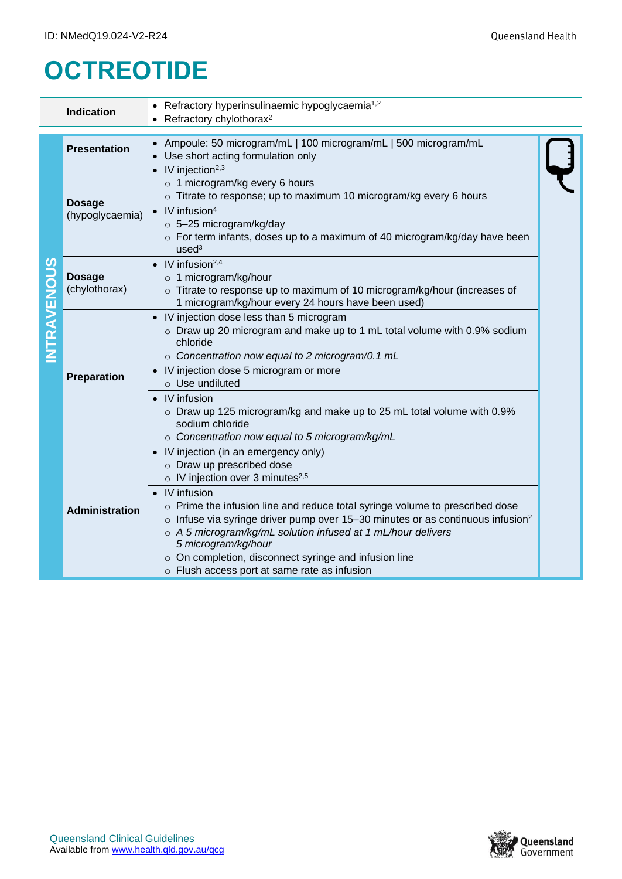## **OCTREOTIDE**

|                    | <b>Indication</b>                | Refractory hyperinsulinaemic hypoglycaemia <sup>1,2</sup>                                                                                                                                                                                                                                                                                                                                                                                                                   |  |
|--------------------|----------------------------------|-----------------------------------------------------------------------------------------------------------------------------------------------------------------------------------------------------------------------------------------------------------------------------------------------------------------------------------------------------------------------------------------------------------------------------------------------------------------------------|--|
|                    |                                  | Refractory chylothorax <sup>2</sup>                                                                                                                                                                                                                                                                                                                                                                                                                                         |  |
|                    |                                  |                                                                                                                                                                                                                                                                                                                                                                                                                                                                             |  |
| <b>INTRAVENOUS</b> | <b>Presentation</b>              | Ampoule: 50 microgram/mL   100 microgram/mL   500 microgram/mL<br>• Use short acting formulation only                                                                                                                                                                                                                                                                                                                                                                       |  |
|                    | <b>Dosage</b><br>(hypoglycaemia) | • IV injection <sup>2,3</sup><br>o 1 microgram/kg every 6 hours<br>o Titrate to response; up to maximum 10 microgram/kg every 6 hours<br>$IV$ infusion <sup>4</sup><br>$\bullet$<br>o 5-25 microgram/kg/day<br>$\circ$ For term infants, doses up to a maximum of 40 microgram/kg/day have been<br>used <sup>3</sup>                                                                                                                                                        |  |
|                    | <b>Dosage</b><br>(chylothorax)   | $\bullet$ IV infusion <sup>2,4</sup><br>o 1 microgram/kg/hour<br>$\circ$ Titrate to response up to maximum of 10 microgram/kg/hour (increases of<br>1 microgram/kg/hour every 24 hours have been used)                                                                                                                                                                                                                                                                      |  |
|                    | Preparation                      | • IV injection dose less than 5 microgram<br>$\circ$ Draw up 20 microgram and make up to 1 mL total volume with 0.9% sodium<br>chloride<br>○ Concentration now equal to 2 microgram/0.1 mL<br>• IV injection dose 5 microgram or more<br>$\circ$ Use undiluted                                                                                                                                                                                                              |  |
|                    |                                  | IV infusion<br>o Draw up 125 microgram/kg and make up to 25 mL total volume with 0.9%<br>sodium chloride<br>o Concentration now equal to 5 microgram/kg/mL                                                                                                                                                                                                                                                                                                                  |  |
|                    | <b>Administration</b>            | • IV injection (in an emergency only)<br>o Draw up prescribed dose<br>$\circ$ IV injection over 3 minutes <sup>2,5</sup><br>IV infusion<br>○ Prime the infusion line and reduce total syringe volume to prescribed dose<br>$\circ$ Infuse via syringe driver pump over 15-30 minutes or as continuous infusion <sup>2</sup><br>o A 5 microgram/kg/mL solution infused at 1 mL/hour delivers<br>5 microgram/kg/hour<br>o On completion, disconnect syringe and infusion line |  |
|                    |                                  | o Flush access port at same rate as infusion                                                                                                                                                                                                                                                                                                                                                                                                                                |  |

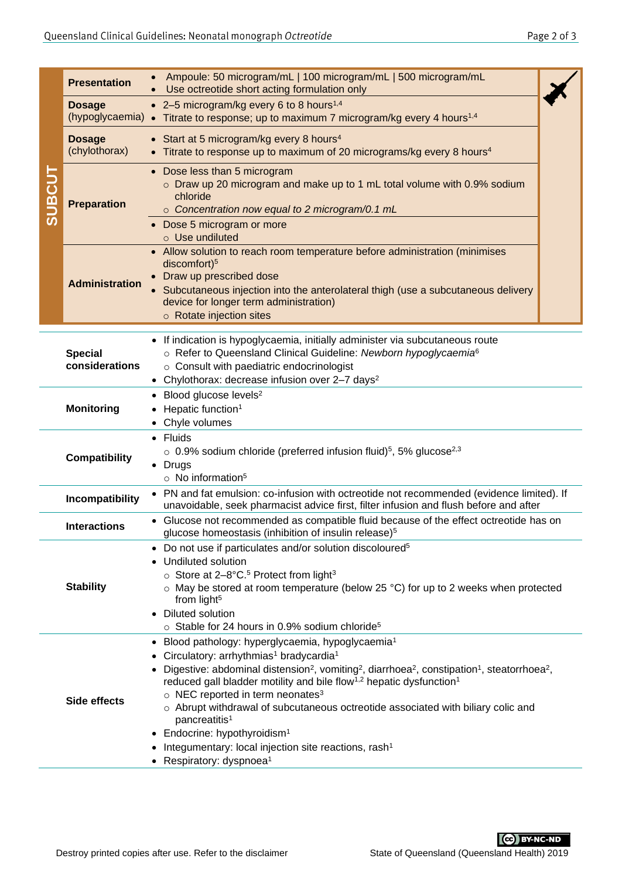| <b>SUBCUT</b>                                                                                                                                                                                                                                                                                                                                                                                                             | <b>Presentation</b>                                                                                                                                                            | Ampoule: 50 microgram/mL   100 microgram/mL   500 microgram/mL<br>Use octreotide short acting formulation only                                                                                                                                                                                                                                                                                                                                                                                                                                                                                                                                                                                                                             |  |  |  |  |
|---------------------------------------------------------------------------------------------------------------------------------------------------------------------------------------------------------------------------------------------------------------------------------------------------------------------------------------------------------------------------------------------------------------------------|--------------------------------------------------------------------------------------------------------------------------------------------------------------------------------|--------------------------------------------------------------------------------------------------------------------------------------------------------------------------------------------------------------------------------------------------------------------------------------------------------------------------------------------------------------------------------------------------------------------------------------------------------------------------------------------------------------------------------------------------------------------------------------------------------------------------------------------------------------------------------------------------------------------------------------------|--|--|--|--|
|                                                                                                                                                                                                                                                                                                                                                                                                                           | <b>Dosage</b>                                                                                                                                                                  | • 2–5 microgram/kg every 6 to 8 hours <sup>1,4</sup><br>(hypoglycaemia) • Titrate to response; up to maximum 7 microgram/kg every 4 hours <sup>1,4</sup>                                                                                                                                                                                                                                                                                                                                                                                                                                                                                                                                                                                   |  |  |  |  |
|                                                                                                                                                                                                                                                                                                                                                                                                                           | <b>Dosage</b><br>(chylothorax)                                                                                                                                                 | • Start at 5 microgram/kg every 8 hours <sup>4</sup><br>• Titrate to response up to maximum of 20 micrograms/kg every 8 hours <sup>4</sup>                                                                                                                                                                                                                                                                                                                                                                                                                                                                                                                                                                                                 |  |  |  |  |
|                                                                                                                                                                                                                                                                                                                                                                                                                           | <b>Preparation</b>                                                                                                                                                             | • Dose less than 5 microgram<br>o Draw up 20 microgram and make up to 1 mL total volume with 0.9% sodium<br>chloride<br>o Concentration now equal to 2 microgram/0.1 mL<br>Dose 5 microgram or more<br>$\circ$ Use undiluted                                                                                                                                                                                                                                                                                                                                                                                                                                                                                                               |  |  |  |  |
|                                                                                                                                                                                                                                                                                                                                                                                                                           | <b>Administration</b>                                                                                                                                                          | • Allow solution to reach room temperature before administration (minimises<br>discomfort) <sup>5</sup><br>Draw up prescribed dose<br>Subcutaneous injection into the anterolateral thigh (use a subcutaneous delivery<br>device for longer term administration)<br>o Rotate injection sites                                                                                                                                                                                                                                                                                                                                                                                                                                               |  |  |  |  |
|                                                                                                                                                                                                                                                                                                                                                                                                                           | <b>Special</b><br>considerations                                                                                                                                               | • If indication is hypoglycaemia, initially administer via subcutaneous route<br>○ Refer to Queensland Clinical Guideline: Newborn hypoglycaemia <sup>6</sup><br>o Consult with paediatric endocrinologist<br>• Chylothorax: decrease infusion over 2-7 days <sup>2</sup>                                                                                                                                                                                                                                                                                                                                                                                                                                                                  |  |  |  |  |
|                                                                                                                                                                                                                                                                                                                                                                                                                           | <b>Monitoring</b>                                                                                                                                                              | Blood glucose levels <sup>2</sup><br>Hepatic function <sup>1</sup><br>Chyle volumes                                                                                                                                                                                                                                                                                                                                                                                                                                                                                                                                                                                                                                                        |  |  |  |  |
| <b>Compatibility</b>                                                                                                                                                                                                                                                                                                                                                                                                      |                                                                                                                                                                                | • Fluids<br>$\circ$ 0.9% sodium chloride (preferred infusion fluid) <sup>5</sup> , 5% glucose <sup>2,3</sup><br>• Drugs<br>$\circ$ No information <sup>5</sup>                                                                                                                                                                                                                                                                                                                                                                                                                                                                                                                                                                             |  |  |  |  |
|                                                                                                                                                                                                                                                                                                                                                                                                                           | Incompatibility                                                                                                                                                                | PN and fat emulsion: co-infusion with octreotide not recommended (evidence limited). If<br>unavoidable, seek pharmacist advice first, filter infusion and flush before and after                                                                                                                                                                                                                                                                                                                                                                                                                                                                                                                                                           |  |  |  |  |
|                                                                                                                                                                                                                                                                                                                                                                                                                           | Glucose not recommended as compatible fluid because of the effect octreotide has on<br><b>Interactions</b><br>glucose homeostasis (inhibition of insulin release) <sup>5</sup> |                                                                                                                                                                                                                                                                                                                                                                                                                                                                                                                                                                                                                                                                                                                                            |  |  |  |  |
| Do not use if particulates and/or solution discoloured <sup>5</sup><br>$\bullet$<br>Undiluted solution<br>○ Store at 2-8°C. <sup>5</sup> Protect from light <sup>3</sup><br><b>Stability</b><br>$\circ$ May be stored at room temperature (below 25 °C) for up to 2 weeks when protected<br>from light <sup>5</sup><br><b>Diluted solution</b><br>$\bullet$<br>○ Stable for 24 hours in 0.9% sodium chloride <sup>5</sup> |                                                                                                                                                                                |                                                                                                                                                                                                                                                                                                                                                                                                                                                                                                                                                                                                                                                                                                                                            |  |  |  |  |
|                                                                                                                                                                                                                                                                                                                                                                                                                           | Side effects                                                                                                                                                                   | Blood pathology: hyperglycaemia, hypoglycaemia <sup>1</sup><br>$\bullet$<br>Circulatory: arrhythmias <sup>1</sup> bradycardia <sup>1</sup><br>Digestive: abdominal distension <sup>2</sup> , vomiting <sup>2</sup> , diarrhoea <sup>2</sup> , constipation <sup>1</sup> , steatorrhoea <sup>2</sup> ,<br>reduced gall bladder motility and bile flow <sup>1,2</sup> hepatic dysfunction <sup>1</sup><br>$\circ$ NEC reported in term neonates <sup>3</sup><br>$\circ$ Abrupt withdrawal of subcutaneous octreotide associated with biliary colic and<br>pancreatitis <sup>1</sup><br>Endocrine: hypothyroidism <sup>1</sup><br>٠<br>Integumentary: local injection site reactions, rash <sup>1</sup><br>Respiratory: dyspnoea <sup>1</sup> |  |  |  |  |
|                                                                                                                                                                                                                                                                                                                                                                                                                           |                                                                                                                                                                                | <b>CC</b> BY-NC-ND<br>Destroy printed copies after use. Refer to the disclaimer<br>State of Queensland (Queensland Health) 2019                                                                                                                                                                                                                                                                                                                                                                                                                                                                                                                                                                                                            |  |  |  |  |